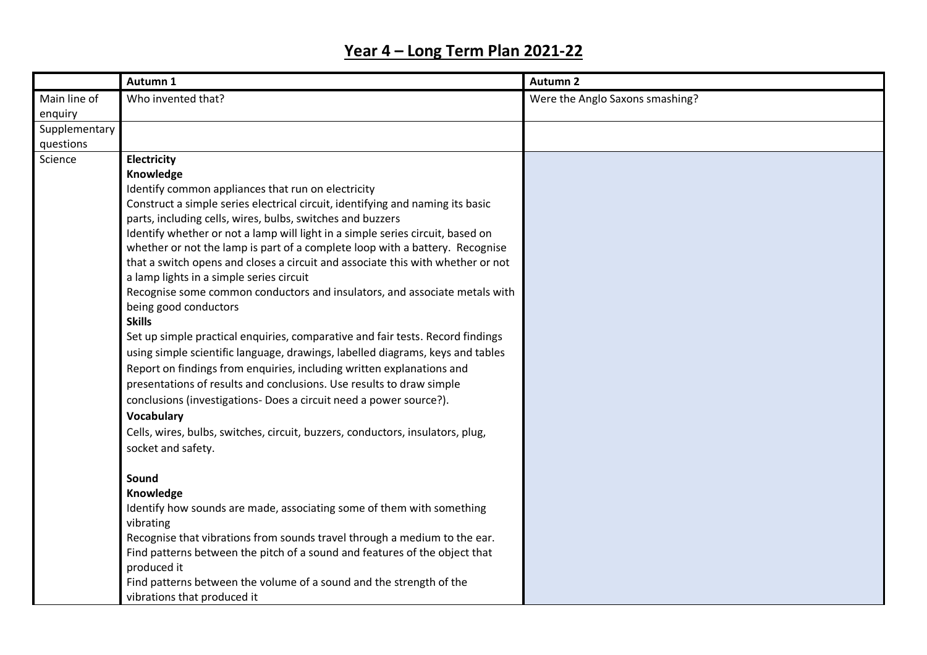# **Year 4 – Long Term Plan 2021-22**

|               | Autumn 1                                                                        | Autumn 2                        |
|---------------|---------------------------------------------------------------------------------|---------------------------------|
| Main line of  | Who invented that?                                                              | Were the Anglo Saxons smashing? |
| enquiry       |                                                                                 |                                 |
| Supplementary |                                                                                 |                                 |
| questions     |                                                                                 |                                 |
| Science       | <b>Electricity</b>                                                              |                                 |
|               | Knowledge                                                                       |                                 |
|               | Identify common appliances that run on electricity                              |                                 |
|               | Construct a simple series electrical circuit, identifying and naming its basic  |                                 |
|               | parts, including cells, wires, bulbs, switches and buzzers                      |                                 |
|               | Identify whether or not a lamp will light in a simple series circuit, based on  |                                 |
|               | whether or not the lamp is part of a complete loop with a battery. Recognise    |                                 |
|               | that a switch opens and closes a circuit and associate this with whether or not |                                 |
|               | a lamp lights in a simple series circuit                                        |                                 |
|               | Recognise some common conductors and insulators, and associate metals with      |                                 |
|               | being good conductors<br><b>Skills</b>                                          |                                 |
|               | Set up simple practical enquiries, comparative and fair tests. Record findings  |                                 |
|               | using simple scientific language, drawings, labelled diagrams, keys and tables  |                                 |
|               |                                                                                 |                                 |
|               | Report on findings from enquiries, including written explanations and           |                                 |
|               | presentations of results and conclusions. Use results to draw simple            |                                 |
|               | conclusions (investigations- Does a circuit need a power source?).              |                                 |
|               | <b>Vocabulary</b>                                                               |                                 |
|               | Cells, wires, bulbs, switches, circuit, buzzers, conductors, insulators, plug,  |                                 |
|               | socket and safety.                                                              |                                 |
|               | Sound                                                                           |                                 |
|               | Knowledge                                                                       |                                 |
|               | Identify how sounds are made, associating some of them with something           |                                 |
|               | vibrating                                                                       |                                 |
|               | Recognise that vibrations from sounds travel through a medium to the ear.       |                                 |
|               | Find patterns between the pitch of a sound and features of the object that      |                                 |
|               | produced it                                                                     |                                 |
|               | Find patterns between the volume of a sound and the strength of the             |                                 |
|               | vibrations that produced it                                                     |                                 |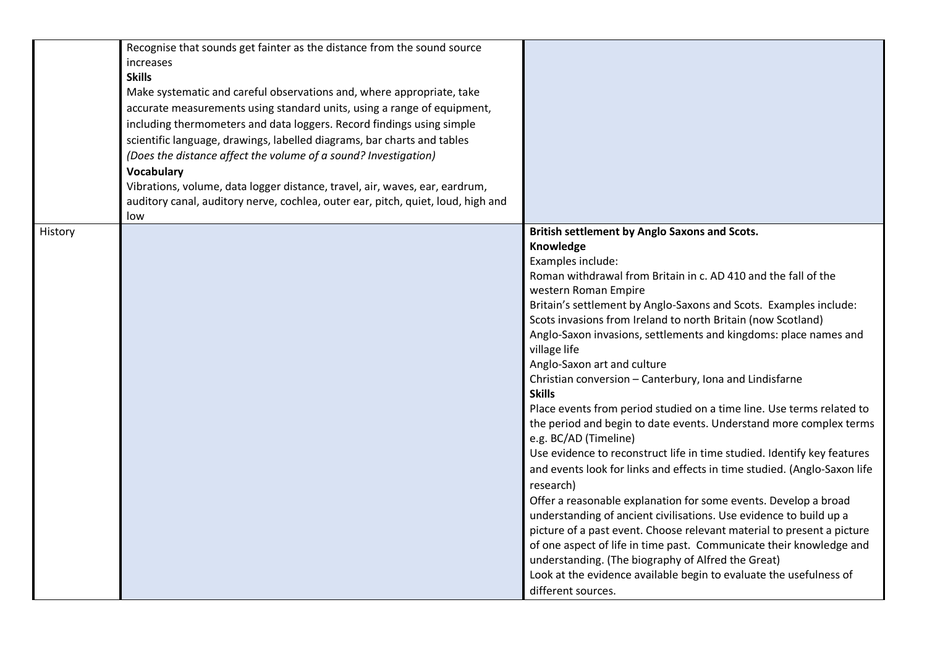|         | Recognise that sounds get fainter as the distance from the sound source<br>increases<br><b>Skills</b><br>Make systematic and careful observations and, where appropriate, take<br>accurate measurements using standard units, using a range of equipment,<br>including thermometers and data loggers. Record findings using simple<br>scientific language, drawings, labelled diagrams, bar charts and tables<br>(Does the distance affect the volume of a sound? Investigation)<br><b>Vocabulary</b><br>Vibrations, volume, data logger distance, travel, air, waves, ear, eardrum,<br>auditory canal, auditory nerve, cochlea, outer ear, pitch, quiet, loud, high and<br>low |                                                                                                                                                                                                                                                                                                                                                                                                                                                                                                                                                                                                                                                                                                                                                                                                                                                                                                                                                                                                                                                                                                                                                                                                                                                                                                              |
|---------|---------------------------------------------------------------------------------------------------------------------------------------------------------------------------------------------------------------------------------------------------------------------------------------------------------------------------------------------------------------------------------------------------------------------------------------------------------------------------------------------------------------------------------------------------------------------------------------------------------------------------------------------------------------------------------|--------------------------------------------------------------------------------------------------------------------------------------------------------------------------------------------------------------------------------------------------------------------------------------------------------------------------------------------------------------------------------------------------------------------------------------------------------------------------------------------------------------------------------------------------------------------------------------------------------------------------------------------------------------------------------------------------------------------------------------------------------------------------------------------------------------------------------------------------------------------------------------------------------------------------------------------------------------------------------------------------------------------------------------------------------------------------------------------------------------------------------------------------------------------------------------------------------------------------------------------------------------------------------------------------------------|
| History |                                                                                                                                                                                                                                                                                                                                                                                                                                                                                                                                                                                                                                                                                 | <b>British settlement by Anglo Saxons and Scots.</b><br>Knowledge<br>Examples include:<br>Roman withdrawal from Britain in c. AD 410 and the fall of the<br>western Roman Empire<br>Britain's settlement by Anglo-Saxons and Scots. Examples include:<br>Scots invasions from Ireland to north Britain (now Scotland)<br>Anglo-Saxon invasions, settlements and kingdoms: place names and<br>village life<br>Anglo-Saxon art and culture<br>Christian conversion - Canterbury, Iona and Lindisfarne<br><b>Skills</b><br>Place events from period studied on a time line. Use terms related to<br>the period and begin to date events. Understand more complex terms<br>e.g. BC/AD (Timeline)<br>Use evidence to reconstruct life in time studied. Identify key features<br>and events look for links and effects in time studied. (Anglo-Saxon life<br>research)<br>Offer a reasonable explanation for some events. Develop a broad<br>understanding of ancient civilisations. Use evidence to build up a<br>picture of a past event. Choose relevant material to present a picture<br>of one aspect of life in time past. Communicate their knowledge and<br>understanding. (The biography of Alfred the Great)<br>Look at the evidence available begin to evaluate the usefulness of<br>different sources. |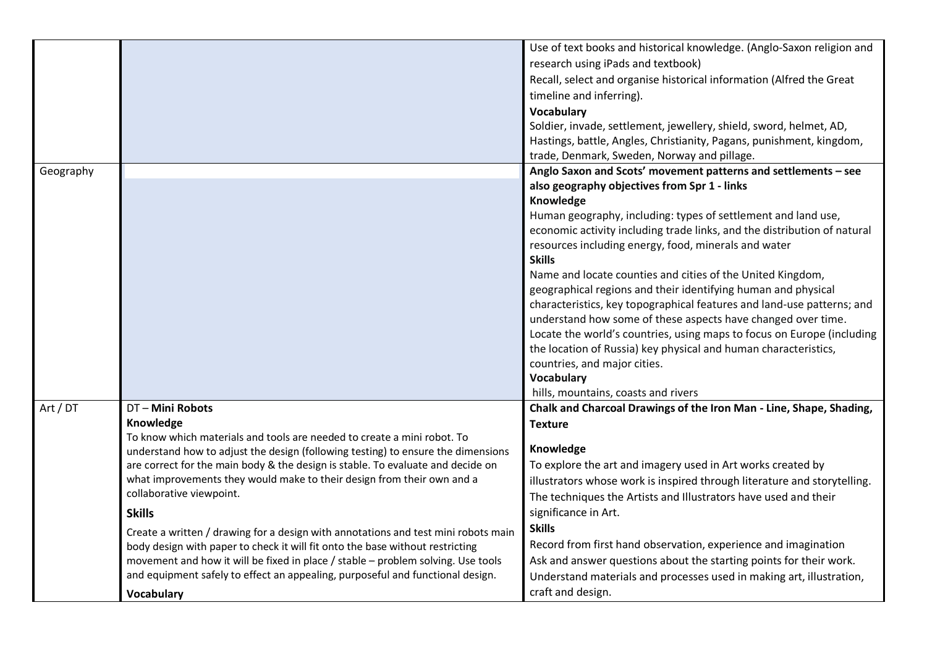|           |                                                                                                                                                             | Use of text books and historical knowledge. (Anglo-Saxon religion and    |
|-----------|-------------------------------------------------------------------------------------------------------------------------------------------------------------|--------------------------------------------------------------------------|
|           |                                                                                                                                                             | research using iPads and textbook)                                       |
|           |                                                                                                                                                             | Recall, select and organise historical information (Alfred the Great     |
|           |                                                                                                                                                             | timeline and inferring).                                                 |
|           |                                                                                                                                                             | Vocabulary                                                               |
|           |                                                                                                                                                             | Soldier, invade, settlement, jewellery, shield, sword, helmet, AD,       |
|           |                                                                                                                                                             | Hastings, battle, Angles, Christianity, Pagans, punishment, kingdom,     |
|           |                                                                                                                                                             | trade, Denmark, Sweden, Norway and pillage.                              |
| Geography |                                                                                                                                                             | Anglo Saxon and Scots' movement patterns and settlements - see           |
|           |                                                                                                                                                             | also geography objectives from Spr 1 - links<br>Knowledge                |
|           |                                                                                                                                                             | Human geography, including: types of settlement and land use,            |
|           |                                                                                                                                                             | economic activity including trade links, and the distribution of natural |
|           |                                                                                                                                                             | resources including energy, food, minerals and water<br><b>Skills</b>    |
|           |                                                                                                                                                             | Name and locate counties and cities of the United Kingdom,               |
|           |                                                                                                                                                             | geographical regions and their identifying human and physical            |
|           |                                                                                                                                                             | characteristics, key topographical features and land-use patterns; and   |
|           |                                                                                                                                                             | understand how some of these aspects have changed over time.             |
|           |                                                                                                                                                             | Locate the world's countries, using maps to focus on Europe (including   |
|           |                                                                                                                                                             | the location of Russia) key physical and human characteristics,          |
|           |                                                                                                                                                             | countries, and major cities.                                             |
|           |                                                                                                                                                             | <b>Vocabulary</b>                                                        |
|           |                                                                                                                                                             | hills, mountains, coasts and rivers                                      |
| Art / DT  | DT-Mini Robots                                                                                                                                              | Chalk and Charcoal Drawings of the Iron Man - Line, Shape, Shading,      |
|           | Knowledge                                                                                                                                                   | <b>Texture</b>                                                           |
|           | To know which materials and tools are needed to create a mini robot. To<br>understand how to adjust the design (following testing) to ensure the dimensions | Knowledge                                                                |
|           | are correct for the main body & the design is stable. To evaluate and decide on                                                                             | To explore the art and imagery used in Art works created by              |
|           | what improvements they would make to their design from their own and a                                                                                      | illustrators whose work is inspired through literature and storytelling. |
|           | collaborative viewpoint.                                                                                                                                    | The techniques the Artists and Illustrators have used and their          |
|           | <b>Skills</b>                                                                                                                                               | significance in Art.                                                     |
|           | Create a written / drawing for a design with annotations and test mini robots main                                                                          | <b>Skills</b>                                                            |
|           | body design with paper to check it will fit onto the base without restricting                                                                               | Record from first hand observation, experience and imagination           |
|           | movement and how it will be fixed in place / stable - problem solving. Use tools                                                                            | Ask and answer questions about the starting points for their work.       |
|           | and equipment safely to effect an appealing, purposeful and functional design.                                                                              | Understand materials and processes used in making art, illustration,     |
|           | Vocabulary                                                                                                                                                  | craft and design.                                                        |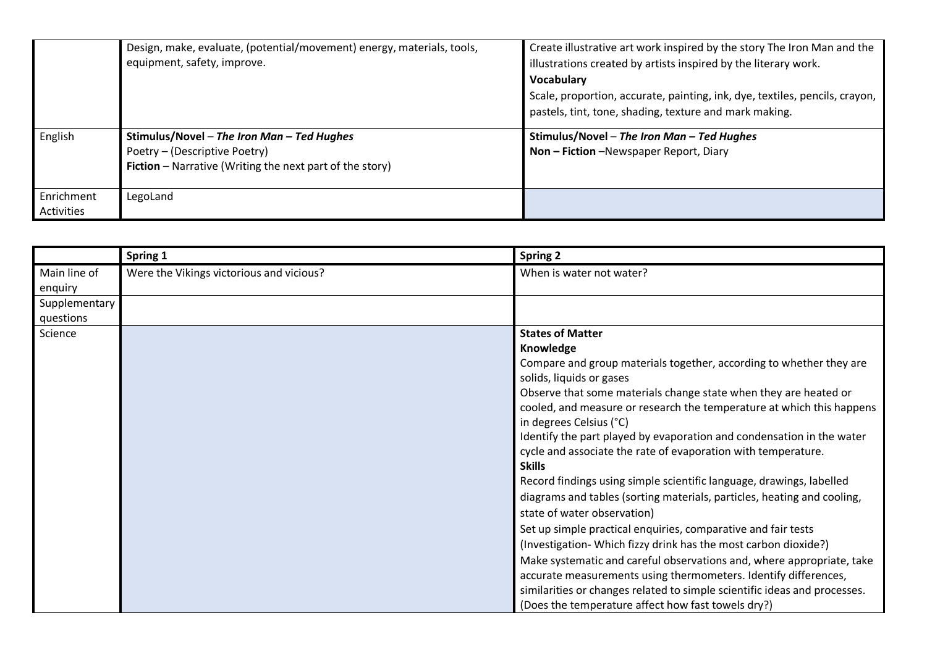|                          | Design, make, evaluate, (potential/movement) energy, materials, tools,<br>equipment, safety, improve. | Create illustrative art work inspired by the story The Iron Man and the<br>illustrations created by artists inspired by the literary work. |
|--------------------------|-------------------------------------------------------------------------------------------------------|--------------------------------------------------------------------------------------------------------------------------------------------|
|                          |                                                                                                       | Vocabulary                                                                                                                                 |
|                          |                                                                                                       | Scale, proportion, accurate, painting, ink, dye, textiles, pencils, crayon,                                                                |
|                          |                                                                                                       | pastels, tint, tone, shading, texture and mark making.                                                                                     |
| English                  | Stimulus/Novel - The Iron Man - Ted Hughes                                                            | Stimulus/Novel - The Iron Man - Ted Hughes                                                                                                 |
|                          | Poetry – (Descriptive Poetry)                                                                         | Non - Fiction - Newspaper Report, Diary                                                                                                    |
|                          | <b>Fiction</b> – Narrative (Writing the next part of the story)                                       |                                                                                                                                            |
| Enrichment<br>Activities | LegoLand                                                                                              |                                                                                                                                            |

|                            | Spring 1                                 | <b>Spring 2</b>                                                                                                                                                                                                                                                                                                                                                                                                                                                                                                                                                                                                                                                                                                                                                                                                                                                                                                                                                                                                                                                                |
|----------------------------|------------------------------------------|--------------------------------------------------------------------------------------------------------------------------------------------------------------------------------------------------------------------------------------------------------------------------------------------------------------------------------------------------------------------------------------------------------------------------------------------------------------------------------------------------------------------------------------------------------------------------------------------------------------------------------------------------------------------------------------------------------------------------------------------------------------------------------------------------------------------------------------------------------------------------------------------------------------------------------------------------------------------------------------------------------------------------------------------------------------------------------|
| Main line of<br>enquiry    | Were the Vikings victorious and vicious? | When is water not water?                                                                                                                                                                                                                                                                                                                                                                                                                                                                                                                                                                                                                                                                                                                                                                                                                                                                                                                                                                                                                                                       |
| Supplementary<br>questions |                                          |                                                                                                                                                                                                                                                                                                                                                                                                                                                                                                                                                                                                                                                                                                                                                                                                                                                                                                                                                                                                                                                                                |
| Science                    |                                          | <b>States of Matter</b><br>Knowledge<br>Compare and group materials together, according to whether they are<br>solids, liquids or gases<br>Observe that some materials change state when they are heated or<br>cooled, and measure or research the temperature at which this happens<br>in degrees Celsius (°C)<br>Identify the part played by evaporation and condensation in the water<br>cycle and associate the rate of evaporation with temperature.<br><b>Skills</b><br>Record findings using simple scientific language, drawings, labelled<br>diagrams and tables (sorting materials, particles, heating and cooling,<br>state of water observation)<br>Set up simple practical enquiries, comparative and fair tests<br>(Investigation-Which fizzy drink has the most carbon dioxide?)<br>Make systematic and careful observations and, where appropriate, take<br>accurate measurements using thermometers. Identify differences,<br>similarities or changes related to simple scientific ideas and processes.<br>(Does the temperature affect how fast towels dry?) |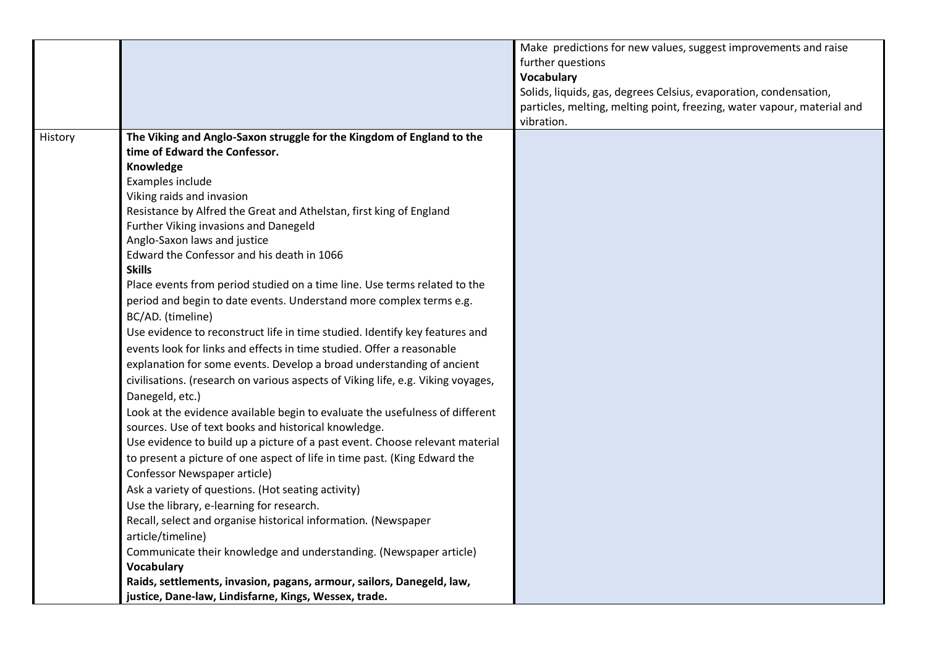|         |                                                                                  | Make predictions for new values, suggest improvements and raise         |
|---------|----------------------------------------------------------------------------------|-------------------------------------------------------------------------|
|         |                                                                                  | further questions                                                       |
|         |                                                                                  | <b>Vocabulary</b>                                                       |
|         |                                                                                  | Solids, liquids, gas, degrees Celsius, evaporation, condensation,       |
|         |                                                                                  | particles, melting, melting point, freezing, water vapour, material and |
|         |                                                                                  | vibration.                                                              |
| History | The Viking and Anglo-Saxon struggle for the Kingdom of England to the            |                                                                         |
|         | time of Edward the Confessor.                                                    |                                                                         |
|         | Knowledge                                                                        |                                                                         |
|         | Examples include                                                                 |                                                                         |
|         | Viking raids and invasion                                                        |                                                                         |
|         | Resistance by Alfred the Great and Athelstan, first king of England              |                                                                         |
|         | Further Viking invasions and Danegeld                                            |                                                                         |
|         | Anglo-Saxon laws and justice                                                     |                                                                         |
|         | Edward the Confessor and his death in 1066                                       |                                                                         |
|         | <b>Skills</b>                                                                    |                                                                         |
|         | Place events from period studied on a time line. Use terms related to the        |                                                                         |
|         | period and begin to date events. Understand more complex terms e.g.              |                                                                         |
|         | BC/AD. (timeline)                                                                |                                                                         |
|         | Use evidence to reconstruct life in time studied. Identify key features and      |                                                                         |
|         | events look for links and effects in time studied. Offer a reasonable            |                                                                         |
|         | explanation for some events. Develop a broad understanding of ancient            |                                                                         |
|         | civilisations. (research on various aspects of Viking life, e.g. Viking voyages, |                                                                         |
|         | Danegeld, etc.)                                                                  |                                                                         |
|         | Look at the evidence available begin to evaluate the usefulness of different     |                                                                         |
|         | sources. Use of text books and historical knowledge.                             |                                                                         |
|         | Use evidence to build up a picture of a past event. Choose relevant material     |                                                                         |
|         | to present a picture of one aspect of life in time past. (King Edward the        |                                                                         |
|         | Confessor Newspaper article)                                                     |                                                                         |
|         | Ask a variety of questions. (Hot seating activity)                               |                                                                         |
|         | Use the library, e-learning for research.                                        |                                                                         |
|         | Recall, select and organise historical information. (Newspaper                   |                                                                         |
|         | article/timeline)                                                                |                                                                         |
|         | Communicate their knowledge and understanding. (Newspaper article)               |                                                                         |
|         | <b>Vocabulary</b>                                                                |                                                                         |
|         | Raids, settlements, invasion, pagans, armour, sailors, Danegeld, law,            |                                                                         |
|         | justice, Dane-law, Lindisfarne, Kings, Wessex, trade.                            |                                                                         |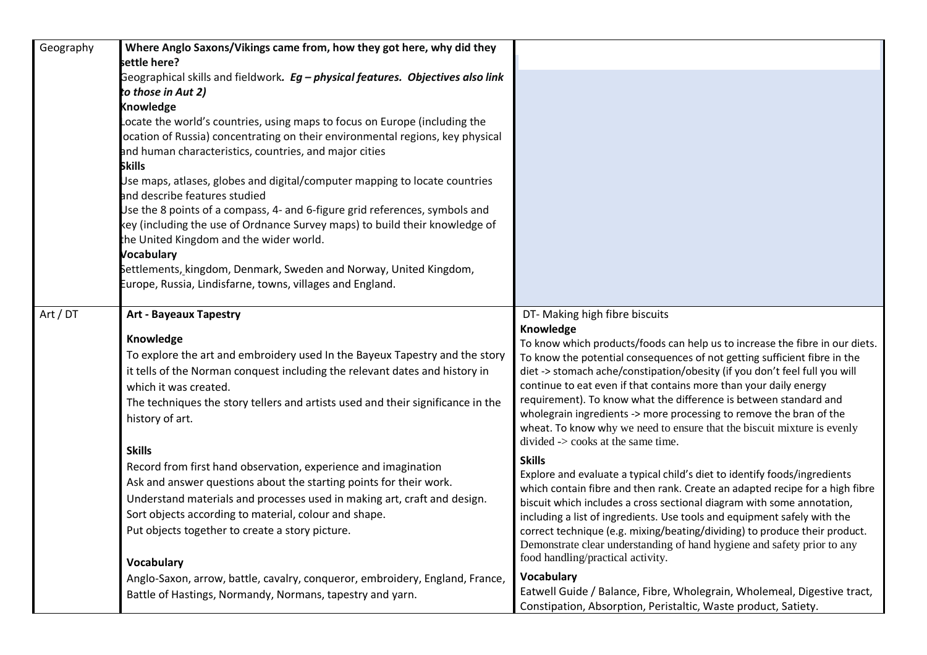| Geography | Where Anglo Saxons/Vikings came from, how they got here, why did they<br>settle here?                                                                                                                                                                                                                                                                       |                                                                                                                                                                                                                                                                                                                                                                                                                                                                                                                                                                                                          |
|-----------|-------------------------------------------------------------------------------------------------------------------------------------------------------------------------------------------------------------------------------------------------------------------------------------------------------------------------------------------------------------|----------------------------------------------------------------------------------------------------------------------------------------------------------------------------------------------------------------------------------------------------------------------------------------------------------------------------------------------------------------------------------------------------------------------------------------------------------------------------------------------------------------------------------------------------------------------------------------------------------|
|           | Geographical skills and fieldwork. Eg - physical features. Objectives also link<br>to those in Aut 2)<br>Knowledge                                                                                                                                                                                                                                          |                                                                                                                                                                                                                                                                                                                                                                                                                                                                                                                                                                                                          |
|           | Locate the world's countries, using maps to focus on Europe (including the<br>ocation of Russia) concentrating on their environmental regions, key physical<br>and human characteristics, countries, and major cities<br><b>Skills</b>                                                                                                                      |                                                                                                                                                                                                                                                                                                                                                                                                                                                                                                                                                                                                          |
|           | Use maps, atlases, globes and digital/computer mapping to locate countries<br>and describe features studied<br>Use the 8 points of a compass, 4- and 6-figure grid references, symbols and                                                                                                                                                                  |                                                                                                                                                                                                                                                                                                                                                                                                                                                                                                                                                                                                          |
|           | key (including the use of Ordnance Survey maps) to build their knowledge of<br>the United Kingdom and the wider world.<br>Vocabulary                                                                                                                                                                                                                        |                                                                                                                                                                                                                                                                                                                                                                                                                                                                                                                                                                                                          |
|           | Settlements, kingdom, Denmark, Sweden and Norway, United Kingdom,<br>Europe, Russia, Lindisfarne, towns, villages and England.                                                                                                                                                                                                                              |                                                                                                                                                                                                                                                                                                                                                                                                                                                                                                                                                                                                          |
| Art / DT  | <b>Art - Bayeaux Tapestry</b>                                                                                                                                                                                                                                                                                                                               | DT- Making high fibre biscuits                                                                                                                                                                                                                                                                                                                                                                                                                                                                                                                                                                           |
|           | Knowledge<br>To explore the art and embroidery used In the Bayeux Tapestry and the story<br>it tells of the Norman conquest including the relevant dates and history in<br>which it was created.<br>The techniques the story tellers and artists used and their significance in the<br>history of art.                                                      | Knowledge<br>To know which products/foods can help us to increase the fibre in our diets.<br>To know the potential consequences of not getting sufficient fibre in the<br>diet -> stomach ache/constipation/obesity (if you don't feel full you will<br>continue to eat even if that contains more than your daily energy<br>requirement). To know what the difference is between standard and<br>wholegrain ingredients -> more processing to remove the bran of the<br>wheat. To know why we need to ensure that the biscuit mixture is evenly<br>$divided \rightarrow \text{cooks at the same time.}$ |
|           | <b>Skills</b><br>Record from first hand observation, experience and imagination<br>Ask and answer questions about the starting points for their work.<br>Understand materials and processes used in making art, craft and design.<br>Sort objects according to material, colour and shape.<br>Put objects together to create a story picture.<br>Vocabulary | <b>Skills</b><br>Explore and evaluate a typical child's diet to identify foods/ingredients<br>which contain fibre and then rank. Create an adapted recipe for a high fibre<br>biscuit which includes a cross sectional diagram with some annotation,<br>including a list of ingredients. Use tools and equipment safely with the<br>correct technique (e.g. mixing/beating/dividing) to produce their product.<br>Demonstrate clear understanding of hand hygiene and safety prior to any<br>food handling/practical activity.                                                                           |
|           | Anglo-Saxon, arrow, battle, cavalry, conqueror, embroidery, England, France,<br>Battle of Hastings, Normandy, Normans, tapestry and yarn.                                                                                                                                                                                                                   | <b>Vocabulary</b><br>Eatwell Guide / Balance, Fibre, Wholegrain, Wholemeal, Digestive tract,<br>Constipation, Absorption, Peristaltic, Waste product, Satiety.                                                                                                                                                                                                                                                                                                                                                                                                                                           |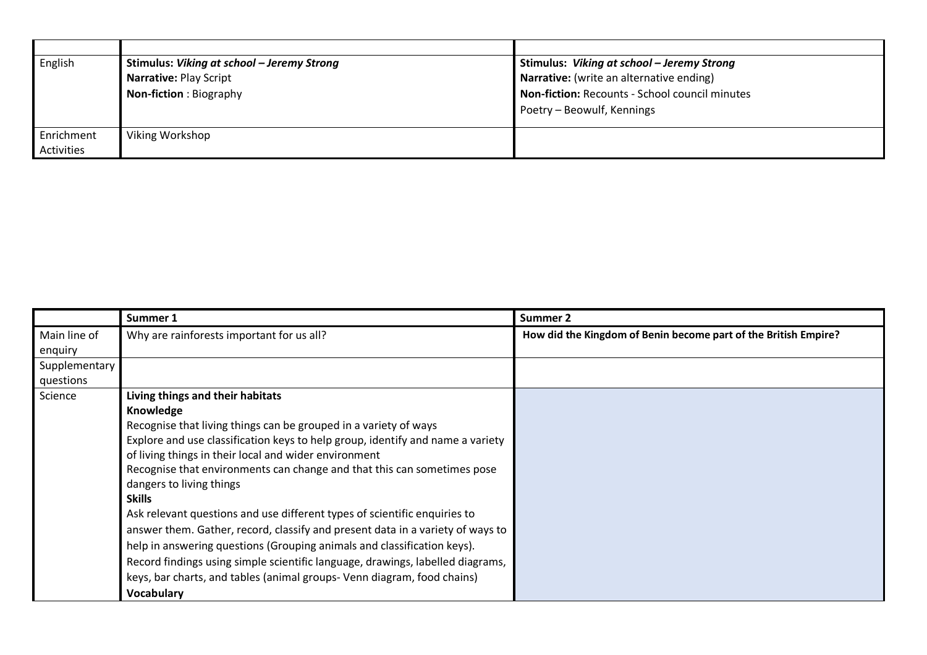| English    | Stimulus: Viking at school - Jeremy Strong | Stimulus: Viking at school - Jeremy Strong     |
|------------|--------------------------------------------|------------------------------------------------|
|            | Narrative: Play Script                     | Narrative: (write an alternative ending)       |
|            | Non-fiction: Biography                     | Non-fiction: Recounts - School council minutes |
|            |                                            | Poetry - Beowulf, Kennings                     |
| Enrichment | Viking Workshop                            |                                                |
| Activities |                                            |                                                |

|               | Summer 1                                                                       | Summer 2                                                        |
|---------------|--------------------------------------------------------------------------------|-----------------------------------------------------------------|
| Main line of  | Why are rainforests important for us all?                                      | How did the Kingdom of Benin become part of the British Empire? |
| enquiry       |                                                                                |                                                                 |
| Supplementary |                                                                                |                                                                 |
| questions     |                                                                                |                                                                 |
| Science       | Living things and their habitats                                               |                                                                 |
|               | Knowledge                                                                      |                                                                 |
|               | Recognise that living things can be grouped in a variety of ways               |                                                                 |
|               | Explore and use classification keys to help group, identify and name a variety |                                                                 |
|               | of living things in their local and wider environment                          |                                                                 |
|               | Recognise that environments can change and that this can sometimes pose        |                                                                 |
|               | dangers to living things                                                       |                                                                 |
|               | <b>Skills</b>                                                                  |                                                                 |
|               | Ask relevant questions and use different types of scientific enquiries to      |                                                                 |
|               | answer them. Gather, record, classify and present data in a variety of ways to |                                                                 |
|               | help in answering questions (Grouping animals and classification keys).        |                                                                 |
|               | Record findings using simple scientific language, drawings, labelled diagrams, |                                                                 |
|               | keys, bar charts, and tables (animal groups- Venn diagram, food chains)        |                                                                 |
|               | <b>Vocabulary</b>                                                              |                                                                 |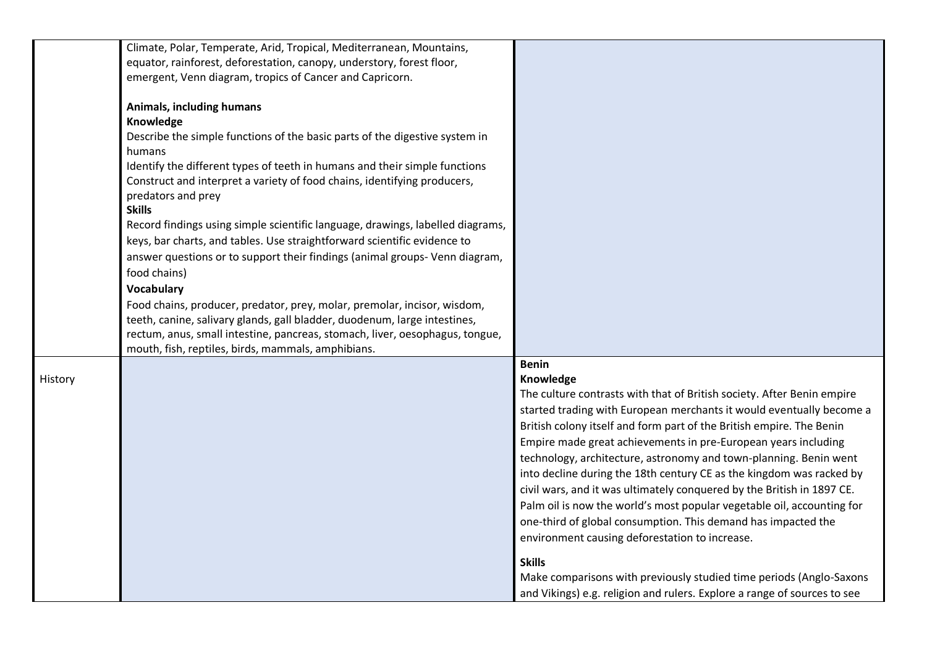|         | Climate, Polar, Temperate, Arid, Tropical, Mediterranean, Mountains,<br>equator, rainforest, deforestation, canopy, understory, forest floor,<br>emergent, Venn diagram, tropics of Cancer and Capricorn.                                                                                                                                                                                                                                                                                                                                                                                                                                                                                                                                                                                                                                                                                                         |                                                                                                                                                                                                                                                                                                                                                                                                                                                                                                                                                                                                                                                                                                                                           |
|---------|-------------------------------------------------------------------------------------------------------------------------------------------------------------------------------------------------------------------------------------------------------------------------------------------------------------------------------------------------------------------------------------------------------------------------------------------------------------------------------------------------------------------------------------------------------------------------------------------------------------------------------------------------------------------------------------------------------------------------------------------------------------------------------------------------------------------------------------------------------------------------------------------------------------------|-------------------------------------------------------------------------------------------------------------------------------------------------------------------------------------------------------------------------------------------------------------------------------------------------------------------------------------------------------------------------------------------------------------------------------------------------------------------------------------------------------------------------------------------------------------------------------------------------------------------------------------------------------------------------------------------------------------------------------------------|
|         | Animals, including humans<br>Knowledge<br>Describe the simple functions of the basic parts of the digestive system in<br>humans<br>Identify the different types of teeth in humans and their simple functions<br>Construct and interpret a variety of food chains, identifying producers,<br>predators and prey<br><b>Skills</b><br>Record findings using simple scientific language, drawings, labelled diagrams,<br>keys, bar charts, and tables. Use straightforward scientific evidence to<br>answer questions or to support their findings (animal groups- Venn diagram,<br>food chains)<br><b>Vocabulary</b><br>Food chains, producer, predator, prey, molar, premolar, incisor, wisdom,<br>teeth, canine, salivary glands, gall bladder, duodenum, large intestines,<br>rectum, anus, small intestine, pancreas, stomach, liver, oesophagus, tongue,<br>mouth, fish, reptiles, birds, mammals, amphibians. |                                                                                                                                                                                                                                                                                                                                                                                                                                                                                                                                                                                                                                                                                                                                           |
| History |                                                                                                                                                                                                                                                                                                                                                                                                                                                                                                                                                                                                                                                                                                                                                                                                                                                                                                                   | <b>Benin</b><br>Knowledge<br>The culture contrasts with that of British society. After Benin empire<br>started trading with European merchants it would eventually become a<br>British colony itself and form part of the British empire. The Benin<br>Empire made great achievements in pre-European years including<br>technology, architecture, astronomy and town-planning. Benin went<br>into decline during the 18th century CE as the kingdom was racked by<br>civil wars, and it was ultimately conquered by the British in 1897 CE.<br>Palm oil is now the world's most popular vegetable oil, accounting for<br>one-third of global consumption. This demand has impacted the<br>environment causing deforestation to increase. |
|         |                                                                                                                                                                                                                                                                                                                                                                                                                                                                                                                                                                                                                                                                                                                                                                                                                                                                                                                   | <b>Skills</b><br>Make comparisons with previously studied time periods (Anglo-Saxons<br>and Vikings) e.g. religion and rulers. Explore a range of sources to see                                                                                                                                                                                                                                                                                                                                                                                                                                                                                                                                                                          |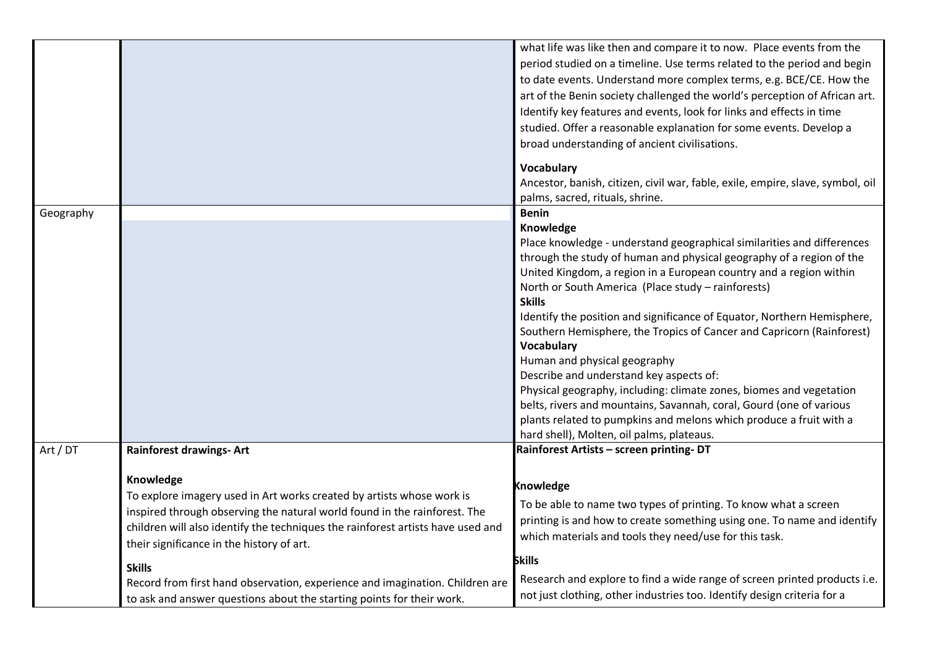|           |                                                                                                                                                                                                                                                                                                                                                     | what life was like then and compare it to now. Place events from the<br>period studied on a timeline. Use terms related to the period and begin<br>to date events. Understand more complex terms, e.g. BCE/CE. How the<br>art of the Benin society challenged the world's perception of African art.<br>Identify key features and events, look for links and effects in time<br>studied. Offer a reasonable explanation for some events. Develop a<br>broad understanding of ancient civilisations.                                                                                                                                                                                                                                                                                                                                    |
|-----------|-----------------------------------------------------------------------------------------------------------------------------------------------------------------------------------------------------------------------------------------------------------------------------------------------------------------------------------------------------|----------------------------------------------------------------------------------------------------------------------------------------------------------------------------------------------------------------------------------------------------------------------------------------------------------------------------------------------------------------------------------------------------------------------------------------------------------------------------------------------------------------------------------------------------------------------------------------------------------------------------------------------------------------------------------------------------------------------------------------------------------------------------------------------------------------------------------------|
|           |                                                                                                                                                                                                                                                                                                                                                     | <b>Vocabulary</b><br>Ancestor, banish, citizen, civil war, fable, exile, empire, slave, symbol, oil<br>palms, sacred, rituals, shrine.                                                                                                                                                                                                                                                                                                                                                                                                                                                                                                                                                                                                                                                                                                 |
| Geography |                                                                                                                                                                                                                                                                                                                                                     | <b>Benin</b><br>Knowledge<br>Place knowledge - understand geographical similarities and differences<br>through the study of human and physical geography of a region of the<br>United Kingdom, a region in a European country and a region within<br>North or South America (Place study - rainforests)<br><b>Skills</b><br>Identify the position and significance of Equator, Northern Hemisphere,<br>Southern Hemisphere, the Tropics of Cancer and Capricorn (Rainforest)<br>Vocabulary<br>Human and physical geography<br>Describe and understand key aspects of:<br>Physical geography, including: climate zones, biomes and vegetation<br>belts, rivers and mountains, Savannah, coral, Gourd (one of various<br>plants related to pumpkins and melons which produce a fruit with a<br>hard shell), Molten, oil palms, plateaus. |
| Art / DT  | <b>Rainforest drawings- Art</b><br>Knowledge<br>To explore imagery used in Art works created by artists whose work is<br>inspired through observing the natural world found in the rainforest. The<br>children will also identify the techniques the rainforest artists have used and<br>their significance in the history of art.<br><b>Skills</b> | Rainforest Artists - screen printing-DT<br>Knowledge<br>To be able to name two types of printing. To know what a screen<br>printing is and how to create something using one. To name and identify<br>which materials and tools they need/use for this task.<br><b>Skills</b><br>Research and explore to find a wide range of screen printed products i.e.                                                                                                                                                                                                                                                                                                                                                                                                                                                                             |
|           | Record from first hand observation, experience and imagination. Children are<br>to ask and answer questions about the starting points for their work.                                                                                                                                                                                               | not just clothing, other industries too. Identify design criteria for a                                                                                                                                                                                                                                                                                                                                                                                                                                                                                                                                                                                                                                                                                                                                                                |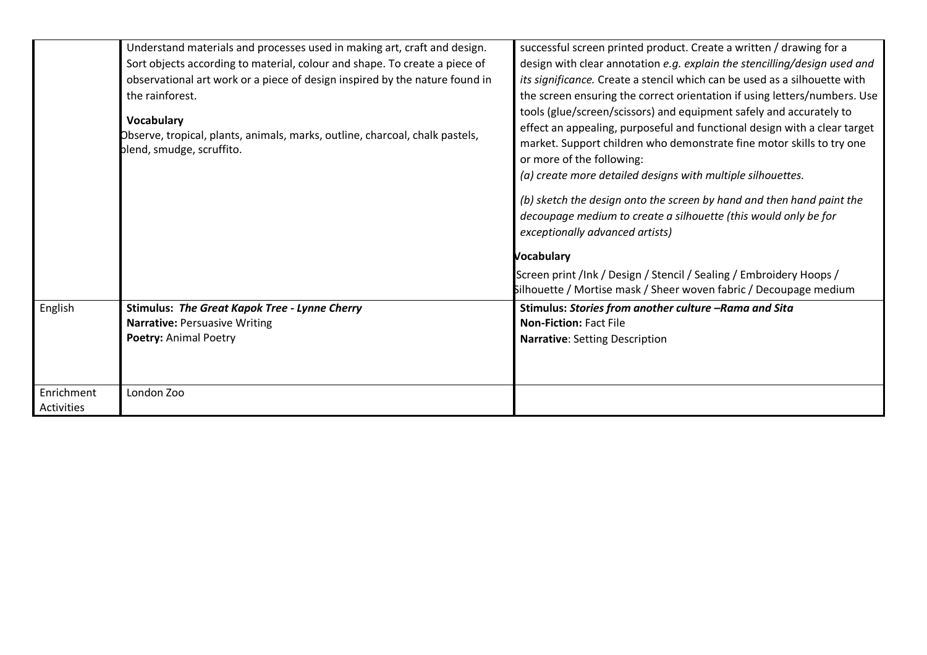|                          | Understand materials and processes used in making art, craft and design.<br>Sort objects according to material, colour and shape. To create a piece of<br>observational art work or a piece of design inspired by the nature found in<br>the rainforest.<br>Vocabulary<br>Observe, tropical, plants, animals, marks, outline, charcoal, chalk pastels, | successful screen printed product. Create a written / drawing for a<br>design with clear annotation e.g. explain the stencilling/design used and<br>its significance. Create a stencil which can be used as a silhouette with<br>the screen ensuring the correct orientation if using letters/numbers. Use<br>tools (glue/screen/scissors) and equipment safely and accurately to<br>effect an appealing, purposeful and functional design with a clear target<br>market. Support children who demonstrate fine motor skills to try one |
|--------------------------|--------------------------------------------------------------------------------------------------------------------------------------------------------------------------------------------------------------------------------------------------------------------------------------------------------------------------------------------------------|-----------------------------------------------------------------------------------------------------------------------------------------------------------------------------------------------------------------------------------------------------------------------------------------------------------------------------------------------------------------------------------------------------------------------------------------------------------------------------------------------------------------------------------------|
|                          | blend, smudge, scruffito.                                                                                                                                                                                                                                                                                                                              | or more of the following:<br>(a) create more detailed designs with multiple silhouettes.<br>(b) sketch the design onto the screen by hand and then hand paint the<br>decoupage medium to create a silhouette (this would only be for<br>exceptionally advanced artists)<br><b>Vocabulary</b><br>Screen print /Ink / Design / Stencil / Sealing / Embroidery Hoops /<br>Silhouette / Mortise mask / Sheer woven fabric / Decoupage medium                                                                                                |
| English                  | Stimulus: The Great Kapok Tree - Lynne Cherry<br><b>Narrative: Persuasive Writing</b><br><b>Poetry: Animal Poetry</b>                                                                                                                                                                                                                                  | Stimulus: Stories from another culture -Rama and Sita<br><b>Non-Fiction: Fact File</b><br><b>Narrative: Setting Description</b>                                                                                                                                                                                                                                                                                                                                                                                                         |
| Enrichment<br>Activities | London Zoo                                                                                                                                                                                                                                                                                                                                             |                                                                                                                                                                                                                                                                                                                                                                                                                                                                                                                                         |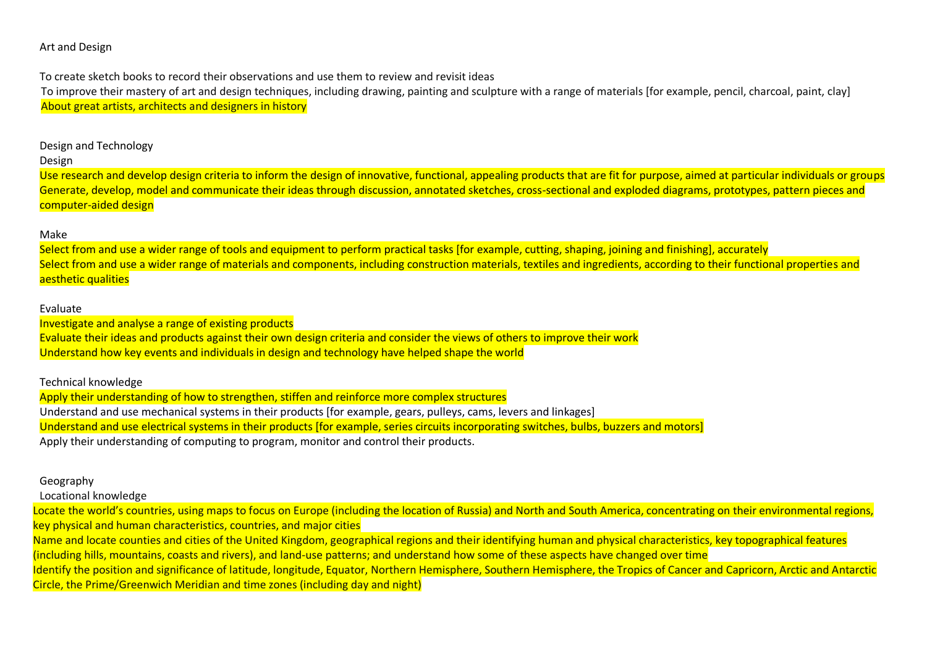#### Art and Design

To create sketch books to record their observations and use them to review and revisit ideas

 To improve their mastery of art and design techniques, including drawing, painting and sculpture with a range of materials [for example, pencil, charcoal, paint, clay] About great artists, architects and designers in history

#### Design and Technology

#### Design

Use research and develop design criteria to inform the design of innovative, functional, appealing products that are fit for purpose, aimed at particular individuals or groups Generate, develop, model and communicate their ideas through discussion, annotated sketches, cross-sectional and exploded diagrams, prototypes, pattern pieces and computer-aided design

#### Make

Select from and use a wider range of tools and equipment to perform practical tasks [for example, cutting, shaping, joining and finishing], accurately Select from and use a wider range of materials and components, including construction materials, textiles and ingredients, according to their functional properties and aesthetic qualities

#### Evaluate

Investigate and analyse a range of existing products Evaluate their ideas and products against their own design criteria and consider the views of others to improve their work Understand how key events and individuals in design and technology have helped shape the world

Technical knowledge

Apply their understanding of how to strengthen, stiffen and reinforce more complex structures Understand and use mechanical systems in their products [for example, gears, pulleys, cams, levers and linkages] Understand and use electrical systems in their products [for example, series circuits incorporating switches, bulbs, buzzers and motors] Apply their understanding of computing to program, monitor and control their products.

# Geography

# Locational knowledge

Locate the world's countries, using maps to focus on Europe (including the location of Russia) and North and South America, concentrating on their environmental regions, key physical and human characteristics, countries, and major cities

Name and locate counties and cities of the United Kingdom, geographical regions and their identifying human and physical characteristics, key topographical features (including hills, mountains, coasts and rivers), and land-use patterns; and understand how some of these aspects have changed over time

Identify the position and significance of latitude, longitude, Equator, Northern Hemisphere, Southern Hemisphere, the Tropics of Cancer and Capricorn, Arctic and Antarctic Circle, the Prime/Greenwich Meridian and time zones (including day and night)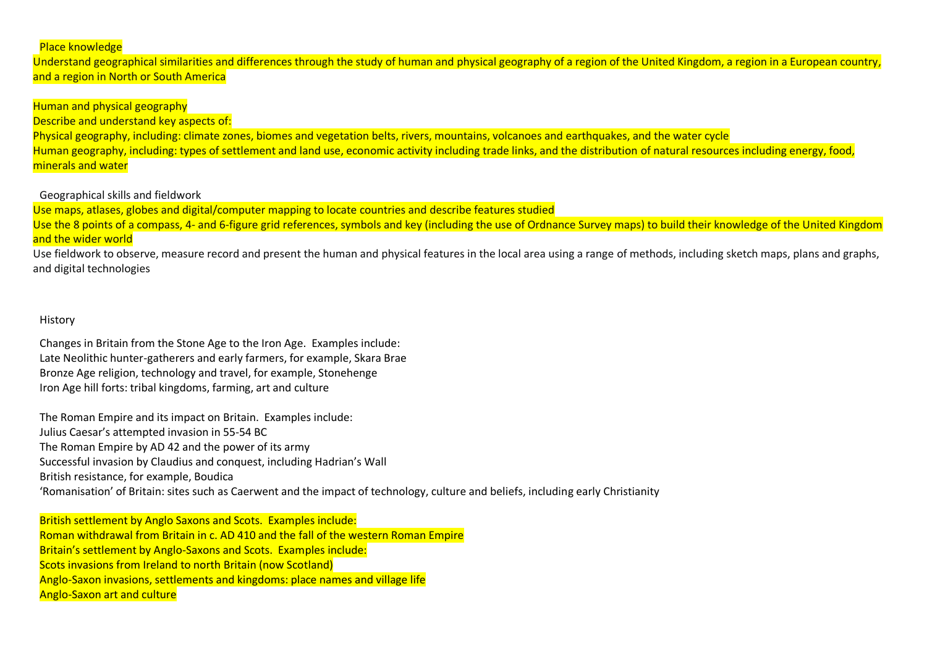# Place knowledge

Understand geographical similarities and differences through the study of human and physical geography of a region of the United Kingdom, a region in a European country, and a region in North or South America

# Human and physical geography

Describe and understand key aspects of:

Physical geography, including: climate zones, biomes and vegetation belts, rivers, mountains, volcanoes and earthquakes, and the water cycle Human geography, including: types of settlement and land use, economic activity including trade links, and the distribution of natural resources including energy, food, minerals and water

Geographical skills and fieldwork

Use maps, atlases, globes and digital/computer mapping to locate countries and describe features studied

Use the 8 points of a compass, 4- and 6-figure grid references, symbols and key (including the use of Ordnance Survey maps) to build their knowledge of the United Kingdom and the wider world

Use fieldwork to observe, measure record and present the human and physical features in the local area using a range of methods, including sketch maps, plans and graphs, and digital technologies

# History

Changes in Britain from the Stone Age to the Iron Age. Examples include: Late Neolithic hunter-gatherers and early farmers, for example, Skara Brae Bronze Age religion, technology and travel, for example, Stonehenge Iron Age hill forts: tribal kingdoms, farming, art and culture

The Roman Empire and its impact on Britain. Examples include: Julius Caesar's attempted invasion in 55-54 BC The Roman Empire by AD 42 and the power of its army Successful invasion by Claudius and conquest, including Hadrian's Wall British resistance, for example, Boudica 'Romanisation' of Britain: sites such as Caerwent and the impact of technology, culture and beliefs, including early Christianity

British settlement by Anglo Saxons and Scots. Examples include: Roman withdrawal from Britain in c. AD 410 and the fall of the western Roman Empire Britain's settlement by Anglo-Saxons and Scots. Examples include: Scots invasions from Ireland to north Britain (now Scotland) Anglo-Saxon invasions, settlements and kingdoms: place names and village life Anglo-Saxon art and culture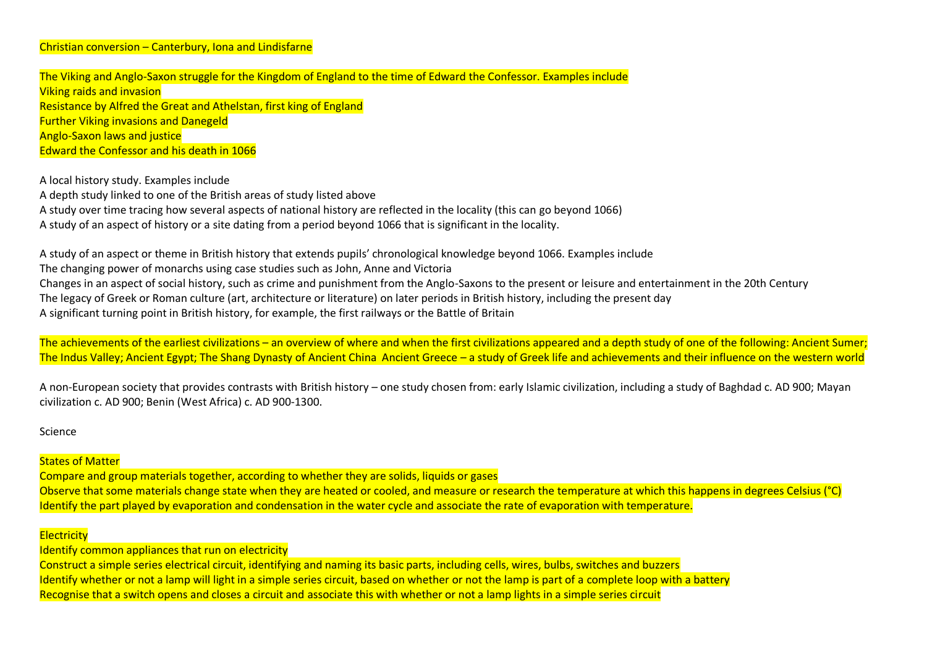# Christian conversion – Canterbury, Iona and Lindisfarne

The Viking and Anglo-Saxon struggle for the Kingdom of England to the time of Edward the Confessor. Examples include Viking raids and invasion Resistance by Alfred the Great and Athelstan, first king of England Further Viking invasions and Danegeld Anglo-Saxon laws and justice Edward the Confessor and his death in 1066

A local history study. Examples include A depth study linked to one of the British areas of study listed above A study over time tracing how several aspects of national history are reflected in the locality (this can go beyond 1066) A study of an aspect of history or a site dating from a period beyond 1066 that is significant in the locality.

A study of an aspect or theme in British history that extends pupils' chronological knowledge beyond 1066. Examples include The changing power of monarchs using case studies such as John, Anne and Victoria Changes in an aspect of social history, such as crime and punishment from the Anglo-Saxons to the present or leisure and entertainment in the 20th Century The legacy of Greek or Roman culture (art, architecture or literature) on later periods in British history, including the present day A significant turning point in British history, for example, the first railways or the Battle of Britain

The achievements of the earliest civilizations – an overview of where and when the first civilizations appeared and a depth study of one of the following: Ancient Sumer; The Indus Valley; Ancient Egypt; The Shang Dynasty of Ancient China Ancient Greece – a study of Greek life and achievements and their influence on the western world

A non-European society that provides contrasts with British history – one study chosen from: early Islamic civilization, including a study of Baghdad c. AD 900; Mayan civilization c. AD 900; Benin (West Africa) c. AD 900-1300.

#### Science

### States of Matter

Compare and group materials together, according to whether they are solids, liquids or gases Observe that some materials change state when they are heated or cooled, and measure or research the temperature at which this happens in degrees Celsius (°C) Identify the part played by evaporation and condensation in the water cycle and associate the rate of evaporation with temperature.

# **Electricity**

Identify common appliances that run on electricity

Construct a simple series electrical circuit, identifying and naming its basic parts, including cells, wires, bulbs, switches and buzzers Identify whether or not a lamp will light in a simple series circuit, based on whether or not the lamp is part of a complete loop with a battery Recognise that a switch opens and closes a circuit and associate this with whether or not a lamp lights in a simple series circuit